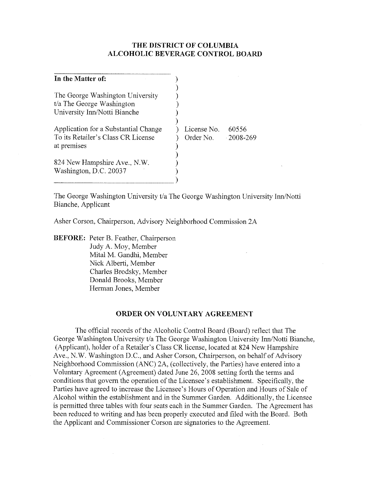## **THE DISTRICT OF COLUMBIA ALCOHOLIC BEVERAGE CONTROL BOARD**

| License No. | 60556         |
|-------------|---------------|
| Order No.   | $-2008 - 269$ |
|             |               |
|             |               |
|             |               |
|             |               |
|             |               |
|             |               |

The George Washington University t/a The George Washington University Inn/Notti Bianche, Applicant

Asher Corson, Chairperson, Advisory Neighborhood Commission 2A

**BEFORE:** Peter B. Feather, Chairperson Judy A. Moy, Member Mital M. Gandhi, Member Nick Alberti, Member Charles Brodsky, Member Donald Brooks, Member Herman Jones, Member

 $\sim$ 

### **ORDER ON VOLUNTARY AGREEMENT**

The official records of the Alcoholic Control Board (Board) reflect that The George Washington University t/a The George Washington University Inn/Notti Bianche, (Applicant), holder of a Retailer's Class CR license, located at 824 New Hampshire Ave., N.W. Washington D.C., and Asher Corson, Chairperson, on behalf of Advisory Neighborhood Commission (ANC) *2A,* (collectively, the Parties) have entered into a Voluntary Agreement (Agreement) dated June 26, 2008 setting forth the terms and conditions that govern the operation of the Licensee's establishment. Specifically, the Parties have agreed to increase the Licensee's Hours of Operation and Hours of Sale of Alcohol within the establishment and in the Summer Garden. Additionally, the Licensee is permitted three tables with four seats each in the Summer Garden. The Agreement has been reduced to writing and has been properly executed and filed with the Board. Both the Applicant and Commissioner Corson are signatories to the Agreement.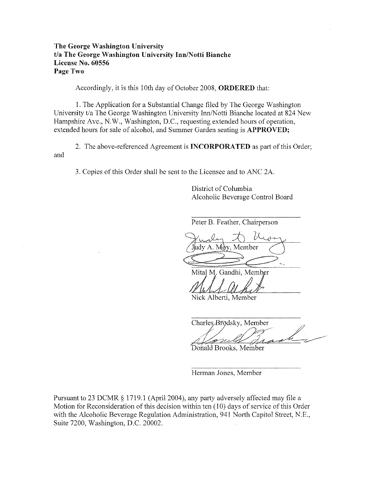## **The George Washington University**  *tla* **The George Washington University InnlNotti Bianche License No. 60556 Page Two**

Accordingly, it is this 10th day of October 2008, **ORDERED** that:

1. The Application for a Substantial Change filed by The George Washington University t/a The George Washington University Inn/Notti Bianche located at 824 New Hampshire Ave., N.W., Washington, D.C., requesting extended hours of operation, extended hours for sale of alcohol, and Summer Garden seating is **APPROVED;** 

2. The above-referenced Agreement is **INCORPORATED** as part of this Order; and

3. Copies of this Order shall be sent to the Licensee and to ANC 2A.

District of Columbia Alcoholic Beverage Control Board

Peter B. Feather, Chairperson

Judy A. Moy, Member

Mital M. Gandhi, Member

Nick Alberti, Member

Charles Brodsky, Member

Donald Brooks, Member

Herman Jones, Member

Pursuant to 23 DCMR § 1719.1 (April 2004), any party adversely affected may file a Motion for Reconsideration of this decision within ten (10) days of service of this Order with the Alcoholic Beverage Regulation Administration, 941 North Capitol Street, N.E., Suite 7200, Washington, D.C. 20002.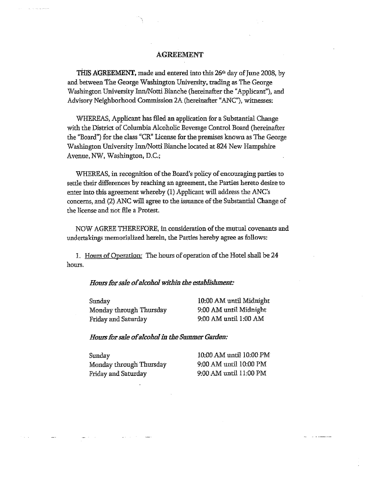### **AGREEMENT**

THIS AGREEMENT, made and entered into this 26<sup>th</sup> day of June 2008, by and between The George Washington University. trading as The George Washington University Inn/Notti Bianche (hereinafter the "Applicant"), and Advisory Neighborhood Commission 2A (hereinafter "ANC"), witnesses:

WHEREAS, Applicant has filed an application for a Substantial Change with the District of Columbia Alcoholic Beverage Control Board (hereinafter the "Board") for the class "CR" License for the premises known as The George Washington University Inn/Notti Bianche located at 824 New Hampshire Avenue. NW. Washington, D.c';

WHEREAS, in recognition of the Board's policy of encouraging parties to settle their differences by reaching an agreement, the Parties hereto desire to enter into this agreement whereby (1) Applicant will address the ANC's concerns, and (2) ANC will agree to the issuance of the Substantial Change of the license and not file a Protest.

NOW AGREE THEREFORE, in consideration of the mutual covenants and undertakings memorialized herein, the Parties hereby agree as follows:

1. Hours of Operation: The hours of operation of the Hotel shall be 24 hours.

#### *H01I1.'S* for *sale of alcabal within the establishment:*

Sunday Monday through Thursday Friday and Saturday

10:00 AM until Midnight 9:00 AM until Midnight 9:00 AM until 1:00 AM

#### *Hours for sale of alcohol in the Summer Garden:*

Sunday Monday through Thursday Friday and Saturday

10:00 AM until 10:00 PM 9:00 AM until 10:00 PM 9:00 AM until 11:00 PM